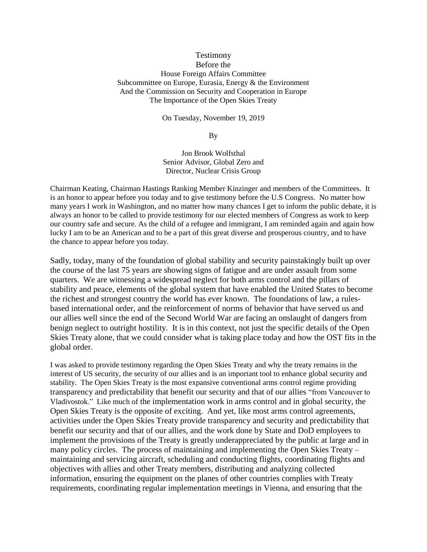## Testimony Before the House Foreign Affairs Committee Subcommittee on Europe, Eurasia, Energy & the Environment And the Commission on Security and Cooperation in Europe The Importance of the Open Skies Treaty

On Tuesday, November 19, 2019

By

Jon Brook Wolfsthal Senior Advisor, Global Zero and Director, Nuclear Crisis Group

Chairman Keating, Chairman Hastings Ranking Member Kinzinger and members of the Committees. It is an honor to appear before you today and to give testimony before the U.S Congress. No matter how many years I work in Washington, and no matter how many chances I get to inform the public debate, it is always an honor to be called to provide testimony for our elected members of Congress as work to keep our country safe and secure. As the child of a refugee and immigrant, I am reminded again and again how lucky I am to be an American and to be a part of this great diverse and prosperous country, and to have the chance to appear before you today.

Sadly, today, many of the foundation of global stability and security painstakingly built up over the course of the last 75 years are showing signs of fatigue and are under assault from some quarters. We are witnessing a widespread neglect for both arms control and the pillars of stability and peace, elements of the global system that have enabled the United States to become the richest and strongest country the world has ever known. The foundations of law, a rulesbased international order, and the reinforcement of norms of behavior that have served us and our allies well since the end of the Second World War are facing an onslaught of dangers from benign neglect to outright hostility. It is in this context, not just the specific details of the Open Skies Treaty alone, that we could consider what is taking place today and how the OST fits in the global order.

I was asked to provide testimony regarding the Open Skies Treaty and why the treaty remains in the interest of US security, the security of our allies and is an important tool to enhance global security and stability. The Open Skies Treaty is the most expansive conventional arms control regime providing transparency and predictability that benefit our security and that of our allies "from Vancouver to Vladivostok." Like much of the implementation work in arms control and in global security, the Open Skies Treaty is the opposite of exciting. And yet, like most arms control agreements, activities under the Open Skies Treaty provide transparency and security and predictability that benefit our security and that of our allies, and the work done by State and DoD employees to implement the provisions of the Treaty is greatly underappreciated by the public at large and in many policy circles. The process of maintaining and implementing the Open Skies Treaty – maintaining and servicing aircraft, scheduling and conducting flights, coordinating flights and objectives with allies and other Treaty members, distributing and analyzing collected information, ensuring the equipment on the planes of other countries complies with Treaty requirements, coordinating regular implementation meetings in Vienna, and ensuring that the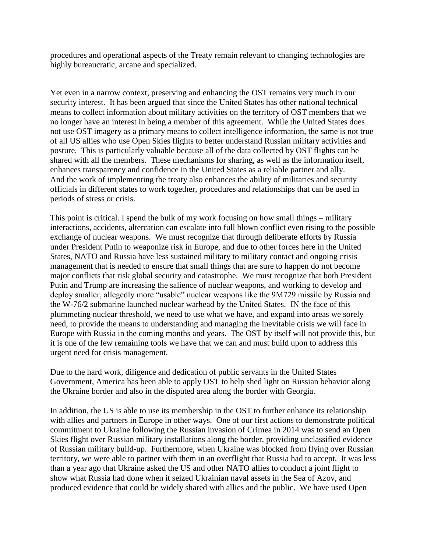procedures and operational aspects of the Treaty remain relevant to changing technologies are highly bureaucratic, arcane and specialized.

Yet even in a narrow context, preserving and enhancing the OST remains very much in our security interest. It has been argued that since the United States has other national technical means to collect information about military activities on the territory of OST members that we no longer have an interest in being a member of this agreement. While the United States does not use OST imagery as a primary means to collect intelligence information, the same is not true of all US allies who use Open Skies flights to better understand Russian military activities and posture. This is particularly valuable because all of the data collected by OST flights can be shared with all the members. These mechanisms for sharing, as well as the information itself, enhances transparency and confidence in the United States as a reliable partner and ally. And the work of implementing the treaty also enhances the ability of militaries and security officials in different states to work together, procedures and relationships that can be used in periods of stress or crisis.

This point is critical. I spend the bulk of my work focusing on how small things – military interactions, accidents, altercation can escalate into full blown conflict even rising to the possible exchange of nuclear weapons. We must recognize that through deliberate efforts by Russia under President Putin to weaponize risk in Europe, and due to other forces here in the United States, NATO and Russia have less sustained military to military contact and ongoing crisis management that is needed to ensure that small things that are sure to happen do not become major conflicts that risk global security and catastrophe. We must recognize that both President Putin and Trump are increasing the salience of nuclear weapons, and working to develop and deploy smaller, allegedly more "usable" nuclear weapons like the 9M729 missile by Russia and the W-76/2 submarine launched nuclear warhead by the United States. IN the face of this plummeting nuclear threshold, we need to use what we have, and expand into areas we sorely need, to provide the means to understanding and managing the inevitable crisis we will face in Europe with Russia in the coming months and years. The OST by itself will not provide this, but it is one of the few remaining tools we have that we can and must build upon to address this urgent need for crisis management.

Due to the hard work, diligence and dedication of public servants in the United States Government, America has been able to apply OST to help shed light on Russian behavior along the Ukraine border and also in the disputed area along the border with Georgia.

In addition, the US is able to use its membership in the OST to further enhance its relationship with allies and partners in Europe in other ways. One of our first actions to demonstrate political commitment to Ukraine following the Russian invasion of Crimea in 2014 was to send an Open Skies flight over Russian military installations along the border, providing unclassified evidence of Russian military build-up. Furthermore, when Ukraine was blocked from flying over Russian territory, we were able to partner with them in an overflight that Russia had to accept. It was less than a year ago that Ukraine asked the US and other NATO allies to conduct a joint flight to show what Russia had done when it seized Ukrainian naval assets in the Sea of Azov, and produced evidence that could be widely shared with allies and the public. We have used Open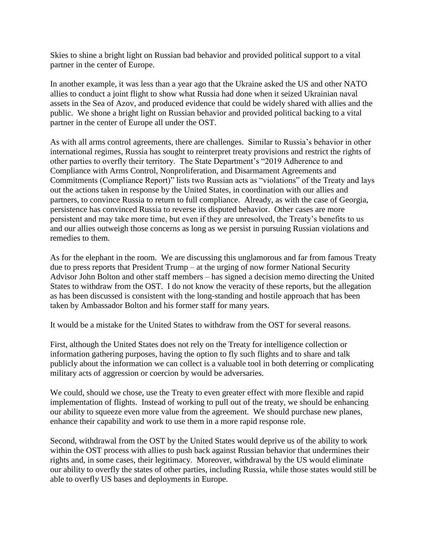Skies to shine a bright light on Russian bad behavior and provided political support to a vital partner in the center of Europe.

In another example, it was less than a year ago that the Ukraine asked the US and other NATO allies to conduct a joint flight to show what Russia had done when it seized Ukrainian naval assets in the Sea of Azov, and produced evidence that could be widely shared with allies and the public. We shone a bright light on Russian behavior and provided political backing to a vital partner in the center of Europe all under the OST.

As with all arms control agreements, there are challenges. Similar to Russia's behavior in other international regimes, Russia has sought to reinterpret treaty provisions and restrict the rights of other parties to overfly their territory. The State Department's "2019 Adherence to and Compliance with Arms Control, Nonproliferation, and Disarmament Agreements and Commitments (Compliance Report)" lists two Russian acts as "violations" of the Treaty and lays out the actions taken in response by the United States, in coordination with our allies and partners, to convince Russia to return to full compliance. Already, as with the case of Georgia, persistence has convinced Russia to reverse its disputed behavior. Other cases are more persistent and may take more time, but even if they are unresolved, the Treaty's benefits to us and our allies outweigh those concerns as long as we persist in pursuing Russian violations and remedies to them.

As for the elephant in the room. We are discussing this unglamorous and far from famous Treaty due to press reports that President Trump – at the urging of now former National Security Advisor John Bolton and other staff members – has signed a decision memo directing the United States to withdraw from the OST. I do not know the veracity of these reports, but the allegation as has been discussed is consistent with the long-standing and hostile approach that has been taken by Ambassador Bolton and his former staff for many years.

It would be a mistake for the United States to withdraw from the OST for several reasons.

First, although the United States does not rely on the Treaty for intelligence collection or information gathering purposes, having the option to fly such flights and to share and talk publicly about the information we can collect is a valuable tool in both deterring or complicating military acts of aggression or coercion by would be adversaries.

We could, should we chose, use the Treaty to even greater effect with more flexible and rapid implementation of flights. Instead of working to pull out of the treaty, we should be enhancing our ability to squeeze even more value from the agreement. We should purchase new planes, enhance their capability and work to use them in a more rapid response role.

Second, withdrawal from the OST by the United States would deprive us of the ability to work within the OST process with allies to push back against Russian behavior that undermines their rights and, in some cases, their legitimacy. Moreover, withdrawal by the US would eliminate our ability to overfly the states of other parties, including Russia, while those states would still be able to overfly US bases and deployments in Europe.